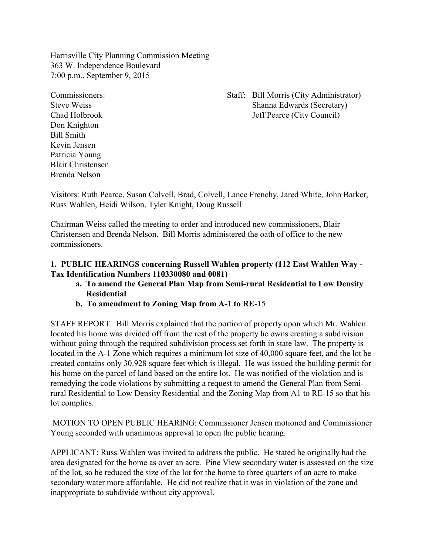Harrisville City Planning Commission Meeting 363 W. Independence Boulevard 7:00 p.m., September 9, 2015

Don Knighton Bill Smith Kevin Jensen Patricia Young Blair Christensen Brenda Nelson

Commissioners: Staff: Bill Morris (City Administrator) Steve Weiss Shanna Edwards (Secretary) Chad Holbrook Jeff Pearce (City Council)

Visitors: Ruth Pearce, Susan Colvell, Brad, Colvell, Lance Frenchy, Jared White, John Barker, Russ Wahlen, Heidi Wilson, Tyler Knight, Doug Russell

Chairman Weiss called the meeting to order and introduced new commissioners, Blair Christensen and Brenda Nelson. Bill Morris administered the oath of office to the new commissioners.

# **1. PUBLIC HEARINGS concerning Russell Wahlen property (112 East Wahlen Way - Tax Identification Numbers 110330080 and 0081)**

- **a. To amend the General Plan Map from Semi-rural Residential to Low Density Residential**
- **b. To amendment to Zoning Map from A-1 to RE**-15

STAFF REPORT: Bill Morris explained that the portion of property upon which Mr. Wahlen located his home was divided off from the rest of the property he owns creating a subdivision without going through the required subdivision process set forth in state law. The property is located in the A-1 Zone which requires a minimum lot size of 40,000 square feet, and the lot he created contains only 30.928 square feet which is illegal. He was issued the building permit for his home on the parcel of land based on the entire lot. He was notified of the violation and is remedying the code violations by submitting a request to amend the General Plan from Semirural Residential to Low Density Residential and the Zoning Map from A1 to RE-15 so that his lot complies.

 MOTION TO OPEN PUBLIC HEARING: Commissioner Jensen motioned and Commissioner Young seconded with unanimous approval to open the public hearing.

APPLICANT: Russ Wahlen was invited to address the public. He stated he originally had the area designated for the home as over an acre. Pine View secondary water is assessed on the size of the lot, so he reduced the size of the lot for the home to three quarters of an acre to make secondary water more affordable. He did not realize that it was in violation of the zone and inappropriate to subdivide without city approval.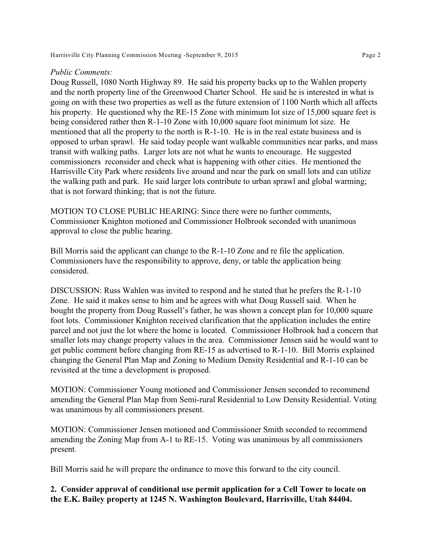Harrisville City Planning Commission Meeting -September 9, 2015 Page 2

#### *Public Comments:*

Doug Russell, 1080 North Highway 89. He said his property backs up to the Wahlen property and the north property line of the Greenwood Charter School. He said he is interested in what is going on with these two properties as well as the future extension of 1100 North which all affects his property. He questioned why the RE-15 Zone with minimum lot size of 15,000 square feet is being considered rather then R-1-10 Zone with 10,000 square foot minimum lot size. He mentioned that all the property to the north is R-1-10. He is in the real estate business and is opposed to urban sprawl. He said today people want walkable communities near parks, and mass transit with walking paths. Larger lots are not what he wants to encourage. He suggested commissioners reconsider and check what is happening with other cities. He mentioned the Harrisville City Park where residents live around and near the park on small lots and can utilize the walking path and park. He said larger lots contribute to urban sprawl and global warming; that is not forward thinking; that is not the future.

MOTION TO CLOSE PUBLIC HEARING: Since there were no further comments, Commissioner Knighton motioned and Commissioner Holbrook seconded with unanimous approval to close the public hearing.

Bill Morris said the applicant can change to the R-1-10 Zone and re file the application. Commissioners have the responsibility to approve, deny, or table the application being considered.

DISCUSSION: Russ Wahlen was invited to respond and he stated that he prefers the R-1-10 Zone. He said it makes sense to him and he agrees with what Doug Russell said. When he bought the property from Doug Russell's father, he was shown a concept plan for 10,000 square foot lots. Commissioner Knighton received clarification that the application includes the entire parcel and not just the lot where the home is located. Commissioner Holbrook had a concern that smaller lots may change property values in the area. Commissioner Jensen said he would want to get public comment before changing from RE-15 as advertised to R-1-10. Bill Morris explained changing the General Plan Map and Zoning to Medium Density Residential and R-1-10 can be revisited at the time a development is proposed.

MOTION: Commissioner Young motioned and Commissioner Jensen seconded to recommend amending the General Plan Map from Semi-rural Residential to Low Density Residential. Voting was unanimous by all commissioners present.

MOTION: Commissioner Jensen motioned and Commissioner Smith seconded to recommend amending the Zoning Map from A-1 to RE-15. Voting was unanimous by all commissioners present.

Bill Morris said he will prepare the ordinance to move this forward to the city council.

## **2. Consider approval of conditional use permit application for a Cell Tower to locate on the E.K. Bailey property at 1245 N. Washington Boulevard, Harrisville, Utah 84404.**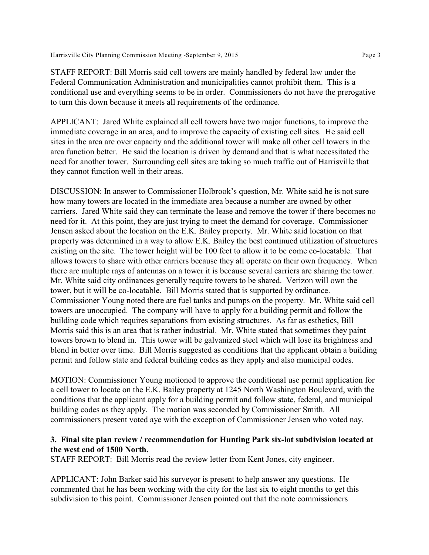STAFF REPORT: Bill Morris said cell towers are mainly handled by federal law under the Federal Communication Administration and municipalities cannot prohibit them. This is a conditional use and everything seems to be in order. Commissioners do not have the prerogative to turn this down because it meets all requirements of the ordinance.

APPLICANT: Jared White explained all cell towers have two major functions, to improve the immediate coverage in an area, and to improve the capacity of existing cell sites. He said cell sites in the area are over capacity and the additional tower will make all other cell towers in the area function better. He said the location is driven by demand and that is what necessitated the need for another tower. Surrounding cell sites are taking so much traffic out of Harrisville that they cannot function well in their areas.

DISCUSSION: In answer to Commissioner Holbrook's question, Mr. White said he is not sure how many towers are located in the immediate area because a number are owned by other carriers. Jared White said they can terminate the lease and remove the tower if there becomes no need for it. At this point, they are just trying to meet the demand for coverage. Commissioner Jensen asked about the location on the E.K. Bailey property. Mr. White said location on that property was determined in a way to allow E.K. Bailey the best continued utilization of structures existing on the site. The tower height will be 100 feet to allow it to be come co-locatable. That allows towers to share with other carriers because they all operate on their own frequency. When there are multiple rays of antennas on a tower it is because several carriers are sharing the tower. Mr. White said city ordinances generally require towers to be shared. Verizon will own the tower, but it will be co-locatable. Bill Morris stated that is supported by ordinance. Commissioner Young noted there are fuel tanks and pumps on the property. Mr. White said cell towers are unoccupied. The company will have to apply for a building permit and follow the building code which requires separations from existing structures. As far as esthetics, Bill Morris said this is an area that is rather industrial. Mr. White stated that sometimes they paint towers brown to blend in. This tower will be galvanized steel which will lose its brightness and blend in better over time. Bill Morris suggested as conditions that the applicant obtain a building permit and follow state and federal building codes as they apply and also municipal codes.

MOTION: Commissioner Young motioned to approve the conditional use permit application for a cell tower to locate on the E.K. Bailey property at 1245 North Washington Boulevard, with the conditions that the applicant apply for a building permit and follow state, federal, and municipal building codes as they apply. The motion was seconded by Commissioner Smith. All commissioners present voted aye with the exception of Commissioner Jensen who voted nay.

### **3. Final site plan review / recommendation for Hunting Park six-lot subdivision located at the west end of 1500 North.**

STAFF REPORT: Bill Morris read the review letter from Kent Jones, city engineer.

APPLICANT: John Barker said his surveyor is present to help answer any questions. He commented that he has been working with the city for the last six to eight months to get this subdivision to this point. Commissioner Jensen pointed out that the note commissioners